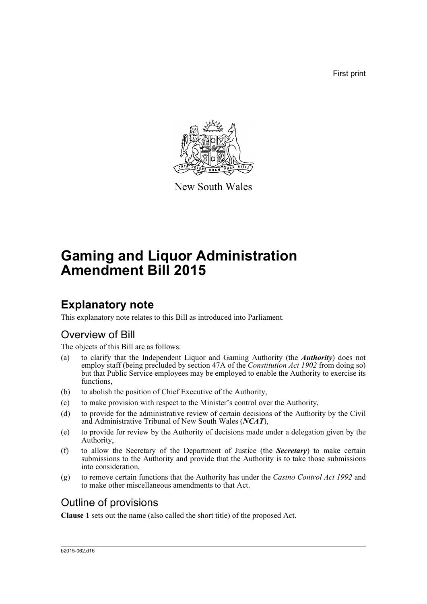First print



New South Wales

# **Gaming and Liquor Administration Amendment Bill 2015**

### **Explanatory note**

This explanatory note relates to this Bill as introduced into Parliament.

### Overview of Bill

The objects of this Bill are as follows:

- (a) to clarify that the Independent Liquor and Gaming Authority (the *Authority*) does not employ staff (being precluded by section 47A of the *Constitution Act 1902* from doing so) but that Public Service employees may be employed to enable the Authority to exercise its functions,
- (b) to abolish the position of Chief Executive of the Authority,
- (c) to make provision with respect to the Minister's control over the Authority,
- (d) to provide for the administrative review of certain decisions of the Authority by the Civil and Administrative Tribunal of New South Wales (*NCAT*),
- (e) to provide for review by the Authority of decisions made under a delegation given by the Authority,
- (f) to allow the Secretary of the Department of Justice (the *Secretary*) to make certain submissions to the Authority and provide that the Authority is to take those submissions into consideration,
- (g) to remove certain functions that the Authority has under the *Casino Control Act 1992* and to make other miscellaneous amendments to that Act.

### Outline of provisions

**Clause 1** sets out the name (also called the short title) of the proposed Act.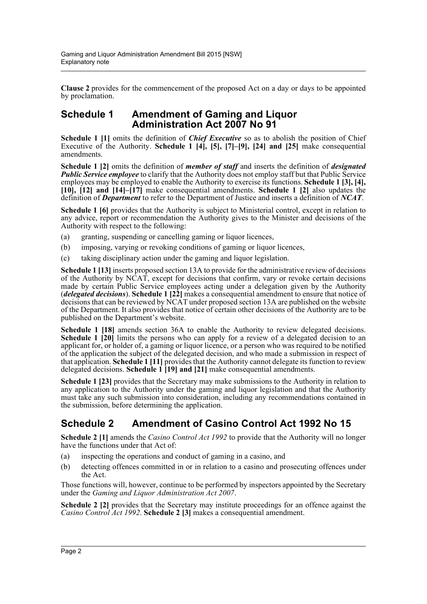**Clause 2** provides for the commencement of the proposed Act on a day or days to be appointed by proclamation.

#### **Schedule 1 Amendment of Gaming and Liquor Administration Act 2007 No 91**

**Schedule 1 [1]** omits the definition of *Chief Executive* so as to abolish the position of Chief Executive of the Authority. **Schedule 1 [4], [5], [7]–[9], [24] and [25]** make consequential amendments.

**Schedule 1 [2]** omits the definition of *member of staff* and inserts the definition of *designated* **Public Service employee** to clarify that the Authority does not employ staff but that Public Service employees may be employed to enable the Authority to exercise its functions. **Schedule 1 [3], [4], [10], [12] and [14]–[17]** make consequential amendments. **Schedule 1 [2]** also updates the definition of *Department* to refer to the Department of Justice and inserts a definition of *NCAT*.

**Schedule 1 [6]** provides that the Authority is subject to Ministerial control, except in relation to any advice, report or recommendation the Authority gives to the Minister and decisions of the Authority with respect to the following:

- (a) granting, suspending or cancelling gaming or liquor licences,
- (b) imposing, varying or revoking conditions of gaming or liquor licences,
- (c) taking disciplinary action under the gaming and liquor legislation.

**Schedule 1 [13]** inserts proposed section 13A to provide for the administrative review of decisions of the Authority by NCAT, except for decisions that confirm, vary or revoke certain decisions made by certain Public Service employees acting under a delegation given by the Authority (*delegated decisions*). **Schedule 1 [22]** makes a consequential amendment to ensure that notice of decisions that can be reviewed by NCAT under proposed section 13A are published on the website of the Department. It also provides that notice of certain other decisions of the Authority are to be published on the Department's website.

**Schedule 1 [18]** amends section 36A to enable the Authority to review delegated decisions. **Schedule 1 [20]** limits the persons who can apply for a review of a delegated decision to an applicant for, or holder of, a gaming or liquor licence, or a person who was required to be notified of the application the subject of the delegated decision, and who made a submission in respect of that application. **Schedule 1 [11]** provides that the Authority cannot delegate its function to review delegated decisions. **Schedule 1 [19] and [21]** make consequential amendments.

**Schedule 1 [23]** provides that the Secretary may make submissions to the Authority in relation to any application to the Authority under the gaming and liquor legislation and that the Authority must take any such submission into consideration, including any recommendations contained in the submission, before determining the application.

#### **Schedule 2 Amendment of Casino Control Act 1992 No 15**

**Schedule 2 [1]** amends the *Casino Control Act 1992* to provide that the Authority will no longer have the functions under that Act of:

- (a) inspecting the operations and conduct of gaming in a casino, and
- (b) detecting offences committed in or in relation to a casino and prosecuting offences under the Act.

Those functions will, however, continue to be performed by inspectors appointed by the Secretary under the *Gaming and Liquor Administration Act 2007*.

**Schedule 2 [2]** provides that the Secretary may institute proceedings for an offence against the *Casino Control Act 1992*. **Schedule 2 [3]** makes a consequential amendment.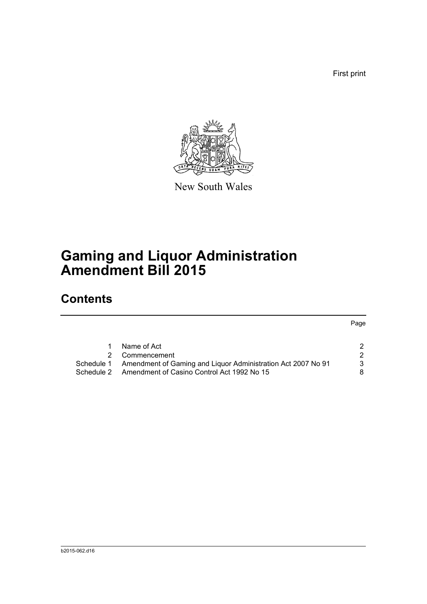First print



New South Wales

# **Gaming and Liquor Administration Amendment Bill 2015**

## **Contents**

Page

| Name of Act                                                             |   |
|-------------------------------------------------------------------------|---|
| 2 Commencement                                                          |   |
| Schedule 1 Amendment of Gaming and Liguor Administration Act 2007 No 91 | 3 |
| Schedule 2 Amendment of Casino Control Act 1992 No 15                   | 8 |
|                                                                         |   |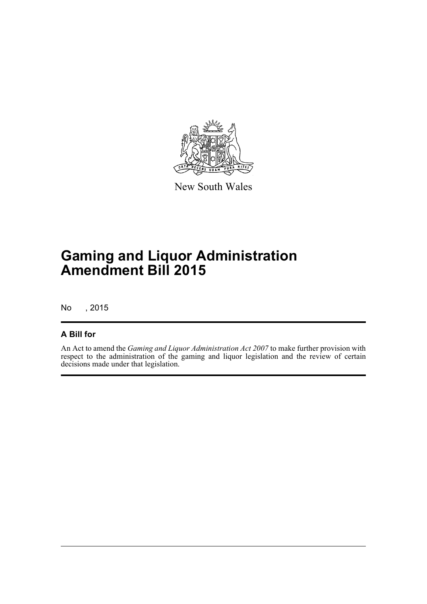

New South Wales

# **Gaming and Liquor Administration Amendment Bill 2015**

No , 2015

#### **A Bill for**

An Act to amend the *Gaming and Liquor Administration Act 2007* to make further provision with respect to the administration of the gaming and liquor legislation and the review of certain decisions made under that legislation.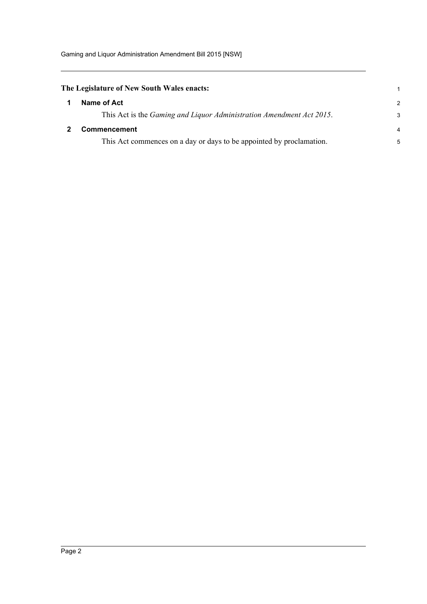<span id="page-4-1"></span><span id="page-4-0"></span>

| The Legislature of New South Wales enacts: |                                                                              |                |  |  |
|--------------------------------------------|------------------------------------------------------------------------------|----------------|--|--|
|                                            | Name of Act                                                                  | $\mathcal{P}$  |  |  |
|                                            | This Act is the <i>Gaming and Liquor Administration Amendment Act 2015</i> . | 3              |  |  |
|                                            | <b>Commencement</b>                                                          | $\overline{4}$ |  |  |
|                                            | This Act commences on a day or days to be appointed by proclamation.         | 5              |  |  |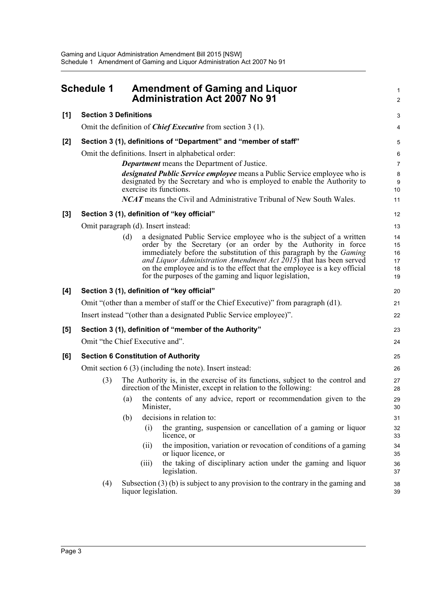<span id="page-5-0"></span>

| <b>Schedule 1</b> |                                                                                   | <b>Amendment of Gaming and Liquor</b><br><b>Administration Act 2007 No 91</b>                                                                                                                                                                                                                                                                                                                                                   |                                  |  |  |  |  |  |
|-------------------|-----------------------------------------------------------------------------------|---------------------------------------------------------------------------------------------------------------------------------------------------------------------------------------------------------------------------------------------------------------------------------------------------------------------------------------------------------------------------------------------------------------------------------|----------------------------------|--|--|--|--|--|
| [1]               | <b>Section 3 Definitions</b>                                                      |                                                                                                                                                                                                                                                                                                                                                                                                                                 | 3                                |  |  |  |  |  |
|                   | Omit the definition of <i>Chief Executive</i> from section $3(1)$ .               |                                                                                                                                                                                                                                                                                                                                                                                                                                 |                                  |  |  |  |  |  |
| [2]               |                                                                                   | Section 3 (1), definitions of "Department" and "member of staff"                                                                                                                                                                                                                                                                                                                                                                | 5                                |  |  |  |  |  |
|                   |                                                                                   | Omit the definitions. Insert in alphabetical order:<br><b>Department</b> means the Department of Justice.<br><i>designated Public Service employee</i> means a Public Service employee who is<br>designated by the Secretary and who is employed to enable the Authority to<br>exercise its functions.<br><b>NCAT</b> means the Civil and Administrative Tribunal of New South Wales.                                           | 6<br>7<br>8<br>9<br>10<br>11     |  |  |  |  |  |
|                   |                                                                                   | Section 3 (1), definition of "key official"                                                                                                                                                                                                                                                                                                                                                                                     | 12                               |  |  |  |  |  |
| $[3]$             |                                                                                   | Omit paragraph (d). Insert instead:                                                                                                                                                                                                                                                                                                                                                                                             | 13                               |  |  |  |  |  |
|                   |                                                                                   | a designated Public Service employee who is the subject of a written<br>(d)<br>order by the Secretary (or an order by the Authority in force<br>immediately before the substitution of this paragraph by the Gaming<br>and Liquor Administration Amendment Act 2015) that has been served<br>on the employee and is to the effect that the employee is a key official<br>for the purposes of the gaming and liquor legislation, | 14<br>15<br>16<br>17<br>18<br>19 |  |  |  |  |  |
| [4]               |                                                                                   | Section 3 (1), definition of "key official"                                                                                                                                                                                                                                                                                                                                                                                     | 20                               |  |  |  |  |  |
|                   | Omit "(other than a member of staff or the Chief Executive)" from paragraph (d1). |                                                                                                                                                                                                                                                                                                                                                                                                                                 |                                  |  |  |  |  |  |
|                   | Insert instead "(other than a designated Public Service employee)".               |                                                                                                                                                                                                                                                                                                                                                                                                                                 |                                  |  |  |  |  |  |
| [5]               |                                                                                   | Section 3 (1), definition of "member of the Authority"                                                                                                                                                                                                                                                                                                                                                                          | 23                               |  |  |  |  |  |
|                   |                                                                                   | Omit "the Chief Executive and".                                                                                                                                                                                                                                                                                                                                                                                                 | 24                               |  |  |  |  |  |
| [6]               |                                                                                   | <b>Section 6 Constitution of Authority</b>                                                                                                                                                                                                                                                                                                                                                                                      | 25                               |  |  |  |  |  |
|                   | Omit section $6(3)$ (including the note). Insert instead:                         |                                                                                                                                                                                                                                                                                                                                                                                                                                 |                                  |  |  |  |  |  |
|                   | (3)                                                                               | The Authority is, in the exercise of its functions, subject to the control and<br>direction of the Minister, except in relation to the following:                                                                                                                                                                                                                                                                               | 27<br>28                         |  |  |  |  |  |
|                   |                                                                                   | the contents of any advice, report or recommendation given to the<br>(a)<br>Minister,                                                                                                                                                                                                                                                                                                                                           | 29<br>30                         |  |  |  |  |  |
|                   |                                                                                   | decisions in relation to:<br>(b)                                                                                                                                                                                                                                                                                                                                                                                                | 31                               |  |  |  |  |  |
|                   |                                                                                   | the granting, suspension or cancellation of a gaming or liquor<br>(i)<br>licence, or                                                                                                                                                                                                                                                                                                                                            | 32<br>33                         |  |  |  |  |  |
|                   |                                                                                   | the imposition, variation or revocation of conditions of a gaming<br>(ii)<br>or liquor licence, or                                                                                                                                                                                                                                                                                                                              | 34<br>35                         |  |  |  |  |  |
|                   |                                                                                   | the taking of disciplinary action under the gaming and liquor<br>(iii)<br>legislation.                                                                                                                                                                                                                                                                                                                                          | 36<br>37                         |  |  |  |  |  |
|                   | (4)                                                                               | Subsection $(3)$ (b) is subject to any provision to the contrary in the gaming and<br>liquor legislation.                                                                                                                                                                                                                                                                                                                       | 38<br>39                         |  |  |  |  |  |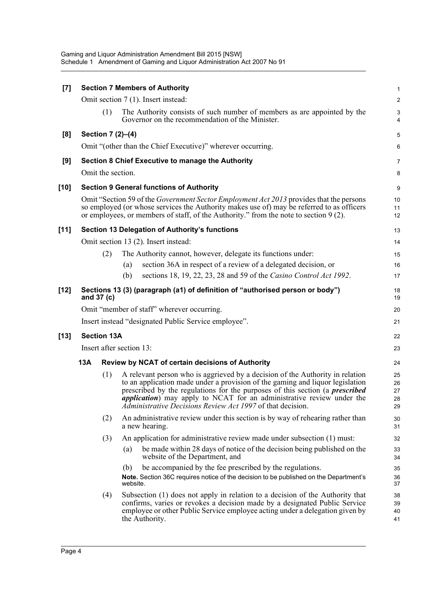| $[7]$  |                                                                                                                                                                                                                                                                                        |                    |                 | <b>Section 7 Members of Authority</b>                                                                                                                                                                                                                                                                                                                                                        | 1                          |  |  |  |  |
|--------|----------------------------------------------------------------------------------------------------------------------------------------------------------------------------------------------------------------------------------------------------------------------------------------|--------------------|-----------------|----------------------------------------------------------------------------------------------------------------------------------------------------------------------------------------------------------------------------------------------------------------------------------------------------------------------------------------------------------------------------------------------|----------------------------|--|--|--|--|
|        |                                                                                                                                                                                                                                                                                        |                    |                 | Omit section 7 (1). Insert instead:                                                                                                                                                                                                                                                                                                                                                          | $\overline{c}$             |  |  |  |  |
|        |                                                                                                                                                                                                                                                                                        | (1)                |                 | The Authority consists of such number of members as are appointed by the<br>Governor on the recommendation of the Minister.                                                                                                                                                                                                                                                                  | 3<br>4                     |  |  |  |  |
| [8]    |                                                                                                                                                                                                                                                                                        | Section 7 (2)-(4)  |                 |                                                                                                                                                                                                                                                                                                                                                                                              | 5                          |  |  |  |  |
|        |                                                                                                                                                                                                                                                                                        |                    |                 | Omit "(other than the Chief Executive)" wherever occurring.                                                                                                                                                                                                                                                                                                                                  | 6                          |  |  |  |  |
| [9]    |                                                                                                                                                                                                                                                                                        |                    |                 | <b>Section 8 Chief Executive to manage the Authority</b>                                                                                                                                                                                                                                                                                                                                     | 7                          |  |  |  |  |
|        | Omit the section.                                                                                                                                                                                                                                                                      |                    |                 |                                                                                                                                                                                                                                                                                                                                                                                              |                            |  |  |  |  |
| $[10]$ |                                                                                                                                                                                                                                                                                        |                    |                 | <b>Section 9 General functions of Authority</b>                                                                                                                                                                                                                                                                                                                                              | 9                          |  |  |  |  |
|        | Omit "Section 59 of the <i>Government Sector Employment Act 2013</i> provides that the persons<br>so employed (or whose services the Authority makes use of) may be referred to as officers<br>or employees, or members of staff, of the Authority." from the note to section $9(2)$ . |                    |                 |                                                                                                                                                                                                                                                                                                                                                                                              |                            |  |  |  |  |
| $[11]$ |                                                                                                                                                                                                                                                                                        |                    |                 | Section 13 Delegation of Authority's functions                                                                                                                                                                                                                                                                                                                                               | 13                         |  |  |  |  |
|        |                                                                                                                                                                                                                                                                                        |                    |                 | Omit section 13 (2). Insert instead:                                                                                                                                                                                                                                                                                                                                                         | 14                         |  |  |  |  |
|        |                                                                                                                                                                                                                                                                                        | (2)                |                 | The Authority cannot, however, delegate its functions under:                                                                                                                                                                                                                                                                                                                                 | 15                         |  |  |  |  |
|        |                                                                                                                                                                                                                                                                                        |                    | (a)             | section 36A in respect of a review of a delegated decision, or                                                                                                                                                                                                                                                                                                                               | 16                         |  |  |  |  |
|        |                                                                                                                                                                                                                                                                                        |                    | (b)             | sections 18, 19, 22, 23, 28 and 59 of the Casino Control Act 1992.                                                                                                                                                                                                                                                                                                                           | 17                         |  |  |  |  |
| $[12]$ |                                                                                                                                                                                                                                                                                        | and 37 (c)         |                 | Sections 13 (3) (paragraph (a1) of definition of "authorised person or body")                                                                                                                                                                                                                                                                                                                | 18<br>19                   |  |  |  |  |
|        | Omit "member of staff" wherever occurring.                                                                                                                                                                                                                                             |                    |                 |                                                                                                                                                                                                                                                                                                                                                                                              |                            |  |  |  |  |
|        |                                                                                                                                                                                                                                                                                        |                    |                 | Insert instead "designated Public Service employee".                                                                                                                                                                                                                                                                                                                                         | 21                         |  |  |  |  |
| $[13]$ |                                                                                                                                                                                                                                                                                        | <b>Section 13A</b> |                 |                                                                                                                                                                                                                                                                                                                                                                                              | 22                         |  |  |  |  |
|        | Insert after section 13:<br>23                                                                                                                                                                                                                                                         |                    |                 |                                                                                                                                                                                                                                                                                                                                                                                              |                            |  |  |  |  |
|        | 13A                                                                                                                                                                                                                                                                                    |                    |                 | Review by NCAT of certain decisions of Authority                                                                                                                                                                                                                                                                                                                                             | 24                         |  |  |  |  |
|        |                                                                                                                                                                                                                                                                                        | (1)                |                 | A relevant person who is aggrieved by a decision of the Authority in relation<br>to an application made under a provision of the gaming and liquor legislation<br>prescribed by the regulations for the purposes of this section (a <i>prescribed</i><br>application) may apply to NCAT for an administrative review under the<br>Administrative Decisions Review Act 1997 of that decision. | 25<br>26<br>27<br>28<br>29 |  |  |  |  |
|        |                                                                                                                                                                                                                                                                                        | (2)                |                 | An administrative review under this section is by way of rehearing rather than<br>a new hearing.                                                                                                                                                                                                                                                                                             | 30<br>31                   |  |  |  |  |
|        |                                                                                                                                                                                                                                                                                        | (3)                |                 | An application for administrative review made under subsection (1) must:                                                                                                                                                                                                                                                                                                                     | 32                         |  |  |  |  |
|        |                                                                                                                                                                                                                                                                                        |                    | (a)             | be made within 28 days of notice of the decision being published on the<br>website of the Department, and                                                                                                                                                                                                                                                                                    | 33<br>34                   |  |  |  |  |
|        |                                                                                                                                                                                                                                                                                        |                    | (b)<br>website. | be accompanied by the fee prescribed by the regulations.<br>Note. Section 36C requires notice of the decision to be published on the Department's                                                                                                                                                                                                                                            | 35<br>36<br>37             |  |  |  |  |
|        |                                                                                                                                                                                                                                                                                        | (4)                |                 | Subsection (1) does not apply in relation to a decision of the Authority that<br>confirms, varies or revokes a decision made by a designated Public Service<br>employee or other Public Service employee acting under a delegation given by<br>the Authority.                                                                                                                                | 38<br>39<br>40<br>41       |  |  |  |  |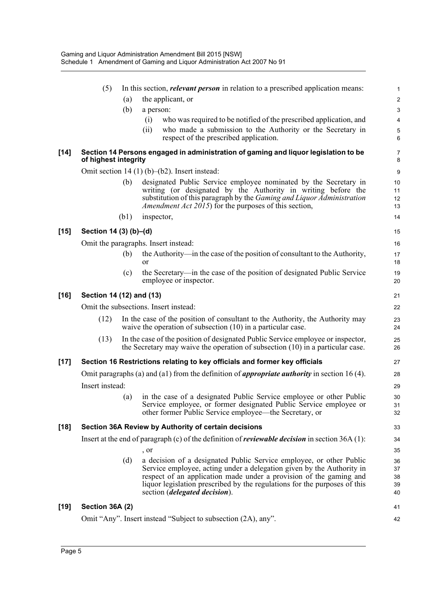|        | (5)                                                        |      | In this section, <i>relevant person</i> in relation to a prescribed application means:                                                                                                                                                                                                                                                   | $\mathbf{1}$               |  |  |
|--------|------------------------------------------------------------|------|------------------------------------------------------------------------------------------------------------------------------------------------------------------------------------------------------------------------------------------------------------------------------------------------------------------------------------------|----------------------------|--|--|
|        |                                                            | (a)  | the applicant, or                                                                                                                                                                                                                                                                                                                        | $\overline{c}$             |  |  |
|        |                                                            | (b)  | a person:                                                                                                                                                                                                                                                                                                                                | $\ensuremath{\mathsf{3}}$  |  |  |
|        |                                                            |      | who was required to be notified of the prescribed application, and<br>(i)                                                                                                                                                                                                                                                                | $\overline{4}$             |  |  |
|        |                                                            |      | who made a submission to the Authority or the Secretary in<br>(ii)<br>respect of the prescribed application.                                                                                                                                                                                                                             | 5<br>6                     |  |  |
| $[14]$ | of highest integrity                                       |      | Section 14 Persons engaged in administration of gaming and liquor legislation to be                                                                                                                                                                                                                                                      | $\overline{7}$<br>8        |  |  |
|        |                                                            |      | Omit section $14(1)(b)–(b2)$ . Insert instead:                                                                                                                                                                                                                                                                                           | $\boldsymbol{9}$           |  |  |
|        |                                                            | (b)  | designated Public Service employee nominated by the Secretary in<br>writing (or designated by the Authority in writing before the<br>substitution of this paragraph by the <i>Gaming and Liquor Administration</i><br><i>Amendment Act 2015</i> ) for the purposes of this section,                                                      | 10<br>11<br>12<br>13       |  |  |
|        |                                                            | (b1) | inspector,                                                                                                                                                                                                                                                                                                                               | 14                         |  |  |
| $[15]$ | Section 14 (3) (b)–(d)                                     |      |                                                                                                                                                                                                                                                                                                                                          | 15                         |  |  |
|        |                                                            |      | Omit the paragraphs. Insert instead:                                                                                                                                                                                                                                                                                                     | 16                         |  |  |
|        |                                                            | (b)  | the Authority—in the case of the position of consultant to the Authority,<br>or                                                                                                                                                                                                                                                          | 17<br>18                   |  |  |
|        |                                                            | (c)  | the Secretary—in the case of the position of designated Public Service<br>employee or inspector.                                                                                                                                                                                                                                         | 19<br>20                   |  |  |
| $[16]$ | Section 14 (12) and (13)                                   |      |                                                                                                                                                                                                                                                                                                                                          |                            |  |  |
|        |                                                            |      | Omit the subsections. Insert instead:                                                                                                                                                                                                                                                                                                    | 22                         |  |  |
|        | (12)                                                       |      | In the case of the position of consultant to the Authority, the Authority may<br>waive the operation of subsection $(10)$ in a particular case.                                                                                                                                                                                          | 23<br>24                   |  |  |
|        | (13)                                                       |      | In the case of the position of designated Public Service employee or inspector,<br>the Secretary may waive the operation of subsection (10) in a particular case.                                                                                                                                                                        | 25<br>26                   |  |  |
| $[17]$ |                                                            |      | Section 16 Restrictions relating to key officials and former key officials                                                                                                                                                                                                                                                               | 27                         |  |  |
|        |                                                            |      | Omit paragraphs (a) and (a1) from the definition of <i>appropriate authority</i> in section 16 (4).                                                                                                                                                                                                                                      | 28                         |  |  |
|        | Insert instead:                                            |      |                                                                                                                                                                                                                                                                                                                                          | 29                         |  |  |
|        |                                                            | (a)  | in the case of a designated Public Service employee or other Public<br>Service employee, or former designated Public Service employee or<br>other former Public Service employee—the Secretary, or                                                                                                                                       | 30<br>31<br>32             |  |  |
| $[18]$ | Section 36A Review by Authority of certain decisions<br>33 |      |                                                                                                                                                                                                                                                                                                                                          |                            |  |  |
|        |                                                            |      | Insert at the end of paragraph $(c)$ of the definition of <i>reviewable decision</i> in section 36A $(1)$ :                                                                                                                                                                                                                              | 34                         |  |  |
|        |                                                            |      | , or                                                                                                                                                                                                                                                                                                                                     | 35                         |  |  |
|        |                                                            | (d)  | a decision of a designated Public Service employee, or other Public<br>Service employee, acting under a delegation given by the Authority in<br>respect of an application made under a provision of the gaming and<br>liquor legislation prescribed by the regulations for the purposes of this<br>section <i>(delegated decision)</i> . | 36<br>37<br>38<br>39<br>40 |  |  |
| $[19]$ | Section 36A (2)                                            |      |                                                                                                                                                                                                                                                                                                                                          | 41                         |  |  |
|        |                                                            |      | Omit "Any". Insert instead "Subject to subsection (2A), any".                                                                                                                                                                                                                                                                            | 42                         |  |  |
|        |                                                            |      |                                                                                                                                                                                                                                                                                                                                          |                            |  |  |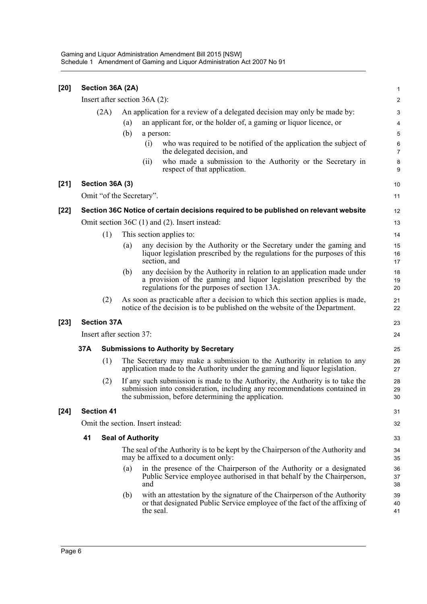| $[20]$ |                                                | Section 36A (2A)   |                                                                          |                          |                                                                                                                                                                                                                   | $\mathbf{1}$        |  |  |  |
|--------|------------------------------------------------|--------------------|--------------------------------------------------------------------------|--------------------------|-------------------------------------------------------------------------------------------------------------------------------------------------------------------------------------------------------------------|---------------------|--|--|--|
|        | Insert after section $36A(2)$ :                |                    |                                                                          |                          |                                                                                                                                                                                                                   |                     |  |  |  |
|        |                                                | (2A)               | An application for a review of a delegated decision may only be made by: |                          |                                                                                                                                                                                                                   |                     |  |  |  |
|        |                                                |                    | (a)                                                                      |                          | an applicant for, or the holder of, a gaming or liquor licence, or                                                                                                                                                | 4                   |  |  |  |
|        |                                                |                    | (b)                                                                      | a person:                |                                                                                                                                                                                                                   | $\sqrt{5}$          |  |  |  |
|        |                                                |                    |                                                                          | (i)                      | who was required to be notified of the application the subject of<br>the delegated decision, and                                                                                                                  | 6<br>$\overline{7}$ |  |  |  |
|        |                                                |                    |                                                                          | (ii)                     | who made a submission to the Authority or the Secretary in<br>respect of that application.                                                                                                                        | 8<br>9              |  |  |  |
| $[21]$ |                                                | Section 36A (3)    |                                                                          |                          |                                                                                                                                                                                                                   | 10                  |  |  |  |
|        |                                                |                    |                                                                          | Omit "of the Secretary". |                                                                                                                                                                                                                   | 11                  |  |  |  |
| $[22]$ |                                                |                    |                                                                          |                          | Section 36C Notice of certain decisions required to be published on relevant website                                                                                                                              | 12                  |  |  |  |
|        | Omit section $36C(1)$ and (2). Insert instead: |                    |                                                                          |                          |                                                                                                                                                                                                                   |                     |  |  |  |
|        |                                                | (1)                |                                                                          |                          | This section applies to:                                                                                                                                                                                          | 14                  |  |  |  |
|        |                                                |                    | (a)                                                                      |                          | any decision by the Authority or the Secretary under the gaming and<br>liquor legislation prescribed by the regulations for the purposes of this<br>section, and                                                  | 15<br>16<br>17      |  |  |  |
|        |                                                |                    | (b)                                                                      |                          | any decision by the Authority in relation to an application made under<br>a provision of the gaming and liquor legislation prescribed by the<br>regulations for the purposes of section 13A.                      | 18<br>19<br>20      |  |  |  |
|        | (2)                                            |                    |                                                                          |                          | As soon as practicable after a decision to which this section applies is made,<br>notice of the decision is to be published on the website of the Department.                                                     | 21<br>22            |  |  |  |
| $[23]$ |                                                | <b>Section 37A</b> |                                                                          |                          |                                                                                                                                                                                                                   | 23                  |  |  |  |
|        | Insert after section 37:                       |                    |                                                                          |                          |                                                                                                                                                                                                                   |                     |  |  |  |
|        | 37A                                            |                    |                                                                          |                          | <b>Submissions to Authority by Secretary</b>                                                                                                                                                                      | 25                  |  |  |  |
|        |                                                | (1)                |                                                                          |                          | The Secretary may make a submission to the Authority in relation to any<br>application made to the Authority under the gaming and liquor legislation.                                                             | 26<br>27            |  |  |  |
|        | (2)                                            |                    |                                                                          |                          | If any such submission is made to the Authority, the Authority is to take the<br>submission into consideration, including any recommendations contained in<br>the submission, before determining the application. | 28<br>29<br>30      |  |  |  |
| $[24]$ | <b>Section 41</b>                              |                    |                                                                          |                          |                                                                                                                                                                                                                   |                     |  |  |  |
|        | Omit the section. Insert instead:              |                    |                                                                          |                          |                                                                                                                                                                                                                   |                     |  |  |  |
|        | 41                                             |                    | <b>Seal of Authority</b>                                                 |                          |                                                                                                                                                                                                                   |                     |  |  |  |
|        |                                                |                    |                                                                          |                          | The seal of the Authority is to be kept by the Chairperson of the Authority and<br>may be affixed to a document only:                                                                                             | 34<br>35            |  |  |  |
|        |                                                |                    | (a)                                                                      | and                      | in the presence of the Chairperson of the Authority or a designated<br>Public Service employee authorised in that behalf by the Chairperson,                                                                      | 36<br>37<br>38      |  |  |  |
|        |                                                |                    | (b)                                                                      | the seal.                | with an attestation by the signature of the Chairperson of the Authority<br>or that designated Public Service employee of the fact of the affixing of                                                             | 39<br>40<br>41      |  |  |  |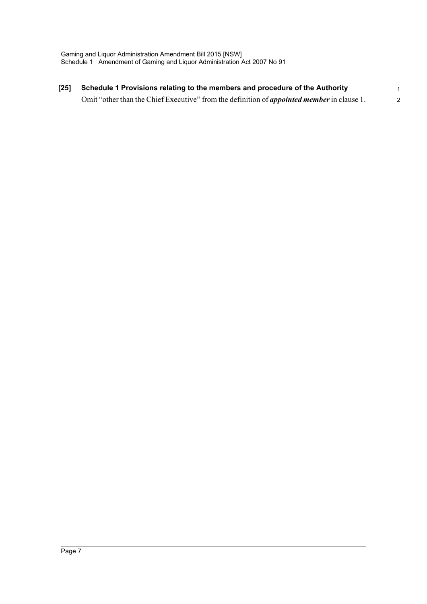**[25] Schedule 1 Provisions relating to the members and procedure of the Authority**  Omit "other than the Chief Executive" from the definition of *appointed member* in clause 1. 1 2